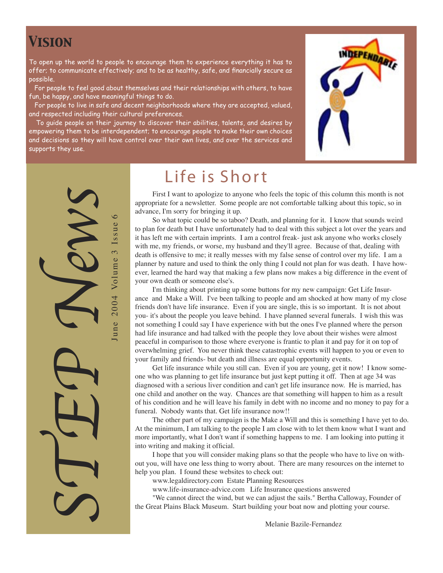#### *Vision*

To open up the world to people to encourage them to experience everything it has to offer; to communicate effectively; and to be as healthy, safe, and financially secure as possible.

 For people to feel good about themselves and their relationships with others, to have fun, be happy, and have meaningful things to do.

 For people to live in safe and decent neighborhoods where they are accepted, valued, and respected including their cultural preferences.

 To guide people on their journey to discover their abilities, talents, and desires by empowering them to be interdependent; to encourage people to make their own choices and decisions so they will have control over their own lives, and over the services and supports they use.



STEP News 2004 Volume 3 Issue 6 June 2004 Volume 3 Issue 6 June

Life is Short

First I want to apologize to anyone who feels the topic of this column this month is not appropriate for a newsletter. Some people are not comfortable talking about this topic, so in advance, I'm sorry for bringing it up.

So what topic could be so taboo? Death, and planning for it. I know that sounds weird to plan for death but I have unfortunately had to deal with this subject a lot over the years and it has left me with certain imprints. I am a control freak- just ask anyone who works closely with me, my friends, or worse, my husband and they'll agree. Because of that, dealing with death is offensive to me; it really messes with my false sense of control over my life. I am a planner by nature and used to think the only thing I could not plan for was death. I have however, learned the hard way that making a few plans now makes a big difference in the event of your own death or someone else's.

I'm thinking about printing up some buttons for my new campaign: Get Life Insurance and Make a Will. I've been talking to people and am shocked at how many of my close friends don't have life insurance. Even if you are single, this is so important. It is not about you- it's about the people you leave behind. I have planned several funerals. I wish this was not something I could say I have experience with but the ones I've planned where the person had life insurance and had talked with the people they love about their wishes were almost peaceful in comparison to those where everyone is frantic to plan it and pay for it on top of overwhelming grief. You never think these catastrophic events will happen to you or even to your family and friends- but death and illness are equal opportunity events.

Get life insurance while you still can. Even if you are young, get it now! I know someone who was planning to get life insurance but just kept putting it off. Then at age 34 was diagnosed with a serious liver condition and can't get life insurance now. He is married, has one child and another on the way. Chances are that something will happen to him as a result of his condition and he will leave his family in debt with no income and no money to pay for a funeral. Nobody wants that. Get life insurance now!!

The other part of my campaign is the Make a Will and this is something I have yet to do. At the minimum, I am talking to the people I am close with to let them know what I want and more importantly, what I don't want if something happens to me. I am looking into putting it into writing and making it official.

I hope that you will consider making plans so that the people who have to live on without you, will have one less thing to worry about. There are many resources on the internet to help you plan. I found these websites to check out:

www.legaldirectory.com Estate Planning Resources

www.life-insurance-advice.com Life Insurance questions answered

"We cannot direct the wind, but we can adjust the sails." Bertha Calloway, Founder of the Great Plains Black Museum. Start building your boat now and plotting your course.

Melanie Bazile-Fernandez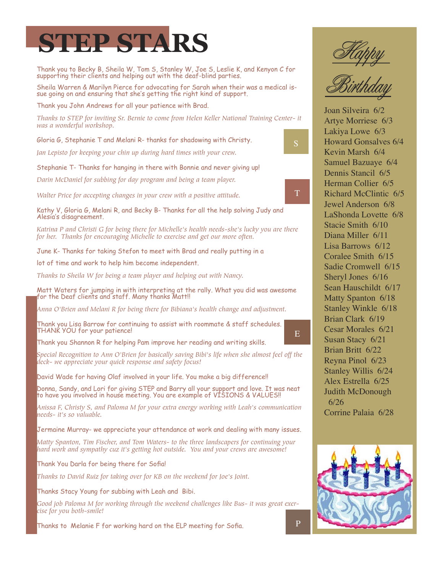# **STEP STARS**

Thank you to Becky B, Sheila W, Tom S, Stanley W, Joe S, Leslie K, and Kenyon C for supporting their clients and helping out with the deaf-blind parties.

Sheila Warren & Marilyn Pierce for advocating for Sarah when their was a medical issue going on and ensuring that she's getting the right kind of support.

Thank you John Andrews for all your patience with Brad.

*Thanks to STEP for inviting Sr. Bernie to come from Helen Keller National Training Center- it was a wonderful workshop.*

Gloria G, Stephanie T and Melani R- thanks for shadowing with Christy.

*Jan Lepisto for keeping your chin up during hard times with your crew.*

Stephanie T- Thanks for hanging in there with Bonnie and never giving up!

*Darin McDaniel for subbing for day program and being a team player.*

*Walter Price for accepting changes in your crew with a positive attitude.*

Kathy V, Gloria G, Melani R, and Becky B- Thanks for all the help solving Judy and Alesia's disagreement.

*Katrina P and Christi G for being there for Michelle's health needs-she's lucky you are there for her. Thanks for encouraging Michelle to exercise and get our more often.*

June K- Thanks for taking Stefon to meet with Brad and really putting in a

lot of time and work to help him become independent.

*Thanks to Sheila W for being a team player and helping out with Nancy.*

Matt Waters for jumping in with interpreting at the rally. What you did was awesome for the Deaf clients and staff. Many thanks Matt!!

*Anna O'Brien and Melani R for being there for Bibiana's health change and adjustment.*

Thank you Lisa Barrow for continuing to assist with roommate & staff schedules. THANK YOU for your patience!

Thank you Shannon R for helping Pam improve her reading and writing skills.

*Special Recognition to Ann O'Brien for basically saving Bibi's life when she almost feel off the deck- we appreciate your quick response and safety focus!*

David Wade for having Olaf involved in your life. You make a big difference!!

Donna, Sandy, and Lori for giving STEP and Barry all your support and love. It was neat to have you involved in house meeting. You are example of VISIONS & VALUES!!

*Anissa F, Christy S, and Paloma M for your extra energy working with Leah's communication needs- it's so valuable.*

Jermaine Murray- we appreciate your attendance at work and dealing with many issues.

*Matty Spanton, Tim Fischer, and Tom Waters- to the three landscapers for continuing your hard work and sympathy cuz it's getting hot outside. You and your crews are awesome!*

Thank You Darla for being there for Sofia!

*Thanks to David Ruiz for taking over for KB on the weekend for Joe's Joint.*

Thanks Stacy Young for subbing with Leah and Bibi.

*Good job Paloma M for working through the weekend challenges like Bus- it was great exercise for you both-smile!*

Thanks to Melanie F for working hard on the ELP meeting for Sofia.





S

T

E

Joan Silveira 6/2 Artye Morriese 6/3 Lakiya Lowe 6/3 Howard Gonsalves 6/4 Kevin Marsh 6/4 Samuel Bazuaye 6/4 Dennis Stancil 6/5 Herman Collier 6/5 Richard McClintic 6/5 Jewel Anderson 6/8 LaShonda Lovette 6/8 Stacie Smith 6/10 Diana Miller 6/11 Lisa Barrows 6/12 Coralee Smith 6/15 Sadie Cromwell 6/15 Sheryl Jones 6/16 Sean Hauschildt 6/17 Matty Spanton 6/18 Stanley Winkle 6/18 Brian Clark 6/19 Cesar Morales 6/21 Susan Stacy 6/21 Brian Britt 6/22 Reyna Pinol 6/23 Stanley Willis 6/24 Alex Estrella 6/25 Judith McDonough 6/26 Corrine Palaia 6/28

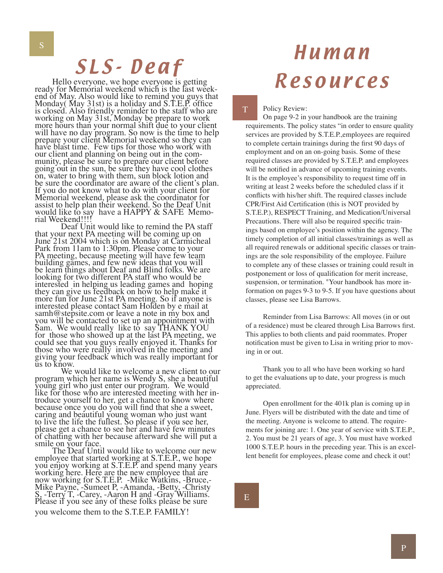# SLS-Deaf

Hello everyone, we hope everyone is getting ready for Memorial weekend which is the last week-Monday( May 31st) is a holiday and S.T.E.P. office is closed. Also friendly reminder to the staff who are working on May 31st, Monday be prepare to work more hours than your normal shift due to your client will have no day program. So now is the time to help prepare your client Memorial weekend so they can have blast time. Few tips for those who work with our client and planning on being out in the com- munity, please be sure to prepare our client before going out in the sun, be sure they have cool clothes on, water to bring with them, sun block lotion and be sure the coordinator are aware of the client's plan. If you do not know what to do with your client for Memorial weekend, please ask the coordinator for assist to help plan their weekend. So the Deaf Unit would like to say have a HAPPY & SAFE Memo-<br>rial Weekend!!!! rial Weekend!!!!<br>Deaf Unit would like to remind the PA staff

that your next PA meeting will be coming up on June 21st 2004 which is on Monday at Carmicheal Park from 11am to 1:30pm. Please come to your PA meeting, because meeting will have few team building games, and few new ideas that you will be learn things about Deaf and Blind folks. We are looking for two different PA staff who would be interested in helping us leading games and hoping they can give us feedback on how to help make it more fun for June 21st PA meeting. So if anyone is interested please contact Sam Holden by e mail at samh@stepsite.com or leave a note in my box and you will be contacted to set up an appointment with Sam. We would really like to say THANK YOU for those who showed up at the last PA meeting, we could see that you guys really enjoyed it. Thanks for those who were really involved in the meeting and giving your feedback which was really important for us to know.

 We would like to welcome a new client to our program which her name is Wendy S, she a beautiful young girl who just enter our program. We would like for those who are interested meeting with her introduce yourself to her, get a chance to know where because once you do you will find that she a sweet, caring and beautiful young woman who just want to live the life the fullest. So please if you see her, please get a chance to see her and have few minutes of chatting with her because afterward she will put a

smile on your face.<br>The Deaf Until would like to welcome our new employee that started working at S.T.E.P., we hope you enjoy working at S.T.E.P. and spend many years working here. Here are the new employee that are now working for S.T.E.P. -Mike Watkins, -Bruce,- Mike Payne, -Sumeet P, -Amanda, -Betty, -Christy S, -Terry T, -Carey, -Aaron H and -Gray Williams. Please if you see any of these folks please be sure you welcome them to the S.T.E.P. FAMILY!

# Human Resources

Policy Review:

T

On page 9-2 in your handbook are the training requirements. The policy states "in order to ensure quality services are provided by S.T.E.P.,employees are required to complete certain trainings during the first 90 days of employment and on an on-going basis. Some of these required classes are provided by S.T.E.P. and employees will be notified in advance of upcoming training events. It is the employee's responsibility to request time off in writing at least 2 weeks before the scheduled class if it conflicts with his/her shift. The required classes include CPR/First Aid Certification (this is NOT provided by S.T.E.P.), RESPECT Training, and Medication/Universal Precautions. There will also be required specific trainings based on employee's position within the agency. The timely completion of all initial classes/trainings as well as all required renewals or additional specific classes or trainings are the sole responsibility of the employee. Failure to complete any of these classes or training could result in postponement or loss of qualification for merit increase, suspension, or termination. "Your handbook has more information on pages 9-3 to 9-5. If you have questions about classes, please see Lisa Barrows.

Reminder from Lisa Barrows: All moves (in or out of a residence) must be cleared through Lisa Barrows first. This applies to both clients and paid roommates. Proper notification must be given to Lisa in writing prior to moving in or out.

Thank you to all who have been working so hard to get the evaluations up to date, your progress is much appreciated.

Open enrollment for the 401k plan is coming up in June. Flyers will be distributed with the date and time of the meeting. Anyone is welcome to attend. The requirements for joining are: 1. One year of service with S.T.E.P., 2. You must be 21 years of age, 3. You must have worked 1000 S.T.E.P. hours in the preceding year. This is an excellent benefit for employees, please come and check it out!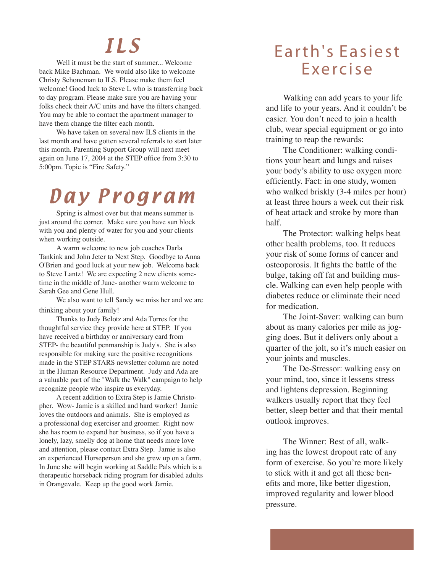## I L S

Well it must be the start of summer... Welcome back Mike Bachman. We would also like to welcome Christy Schoneman to ILS. Please make them feel welcome! Good luck to Steve L who is transferring back to day program. Please make sure you are having your folks check their A/C units and have the filters changed. You may be able to contact the apartment manager to have them change the filter each month.

We have taken on several new ILS clients in the last month and have gotten several referrals to start later this month. Parenting Support Group will next meet again on June 17, 2004 at the STEP office from 3:30 to 5:00pm. Topic is "Fire Safety."

# Day Program

Spring is almost over but that means summer is just around the corner. Make sure you have sun block with you and plenty of water for you and your clients when working outside.

A warm welcome to new job coaches Darla Tankink and John Jeter to Next Step. Goodbye to Anna O'Brien and good luck at your new job. Welcome back to Steve Lantz! We are expecting 2 new clients sometime in the middle of June- another warm welcome to Sarah Gee and Gene Hull.

We also want to tell Sandy we miss her and we are thinking about your family!

Thanks to Judy Belotz and Ada Torres for the thoughtful service they provide here at STEP. If you have received a birthday or anniversary card from STEP- the beautiful penmanship is Judy's. She is also responsible for making sure the positive recognitions made in the STEP STARS newsletter column are noted in the Human Resource Department. Judy and Ada are a valuable part of the "Walk the Walk" campaign to help recognize people who inspire us everyday.

A recent addition to Extra Step is Jamie Christopher. Wow- Jamie is a skilled and hard worker! Jamie loves the outdoors and animals. She is employed as a professional dog exerciser and groomer. Right now she has room to expand her business, so if you have a lonely, lazy, smelly dog at home that needs more love and attention, please contact Extra Step. Jamie is also an experienced Horseperson and she grew up on a farm. In June she will begin working at Saddle Pals which is a therapeutic horseback riding program for disabled adults in Orangevale. Keep up the good work Jamie.

#### Earth's Easiest E xe rc i s e

Walking can add years to your life and life to your years. And it couldn't be easier. You don't need to join a health club, wear special equipment or go into training to reap the rewards:

The Conditioner: walking conditions your heart and lungs and raises your body's ability to use oxygen more efficiently. Fact: in one study, women who walked briskly (3-4 miles per hour) at least three hours a week cut their risk of heat attack and stroke by more than half.

The Protector: walking helps beat other health problems, too. It reduces your risk of some forms of cancer and osteoporosis. It fights the battle of the bulge, taking off fat and building muscle. Walking can even help people with diabetes reduce or eliminate their need for medication.

The Joint-Saver: walking can burn about as many calories per mile as jogging does. But it delivers only about a quarter of the jolt, so it's much easier on your joints and muscles.

The De-Stressor: walking easy on your mind, too, since it lessens stress and lightens depression. Beginning walkers usually report that they feel better, sleep better and that their mental outlook improves.

The Winner: Best of all, walking has the lowest dropout rate of any form of exercise. So you're more likely to stick with it and get all these benefits and more, like better digestion, improved regularity and lower blood pressure.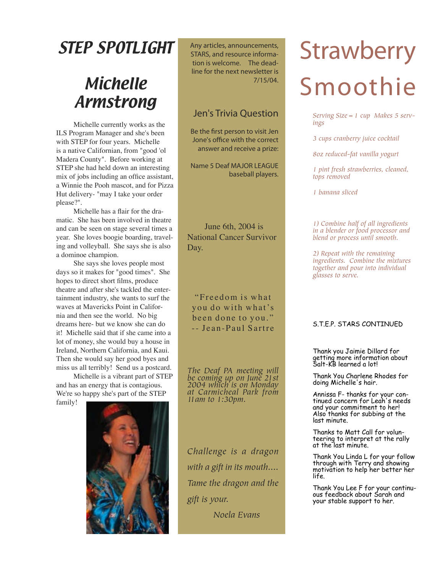## STEP SPOTLIGHT

### **Michelle** Armstrong

Michelle currently works as the ILS Program Manager and she's been with STEP for four years. Michelle is a native Californian, from "good 'ol Madera County". Before working at STEP she had held down an interesting mix of jobs including an office assistant, a Winnie the Pooh mascot, and for Pizza Hut delivery- "may I take your order please?".

Michelle has a flair for the dramatic. She has been involved in theatre and can be seen on stage several times a year. She loves boogie boarding, traveling and volleyball. She says she is also a dominoe champion.

She says she loves people most days so it makes for "good times". She hopes to direct short films, produce theatre and after she's tackled the entertainment industry, she wants to surf the waves at Mavericks Point in California and then see the world. No big dreams here- but we know she can do it! Michelle said that if she came into a lot of money, she would buy a house in Ireland, Northern California, and Kaui. Then she would say her good byes and miss us all terribly! Send us a postcard.

Michelle is a vibrant part of STEP and has an energy that is contagious. We're so happy she's part of the STEP

family!



Any articles, announcements, STARS, and resource information is welcome. The deadline for the next newsletter is 7/15/04.

#### Jen's Trivia Question

Be the first person to visit Jen Jone's office with the correct answer and receive a prize:

 Name 5 Deaf MAJOR LEAGUE baseball players.

June 6th, 2004 is National Cancer Survivor Day.

"Freedom is what you do with what's been done to you." -- Jean-Paul Sartre

*The Deaf PA meeting will be coming up on June 21st 2004 which is on Monday at Carmicheal Park from 11am to 1:30pm.*

*Challenge is a dragon with a gift in its mouth.... Tame the dragon and the gift is your.*

 *Noela Evans*

# **Strawberry** Smoothie

*Serving Size=1 cup Makes 5 servings*

*3 cups cranberry juice cocktail*

*8oz reduced-fat vanilla yogurt*

*1 pint fresh strawberries, cleaned, tops removed*

*1 banana sliced*

*1) Combine half of all ingredients in a blender or food processor and blend or process until smooth.* 

*2) Repeat with the remaining ingredients. Combine the mixtures together and pour into individual glasses to serve.*

#### S.T.E.P. STARS CONTINUED

Thank you Jaimie Dillard for<br>getting more information about Salt-KB learned a lot!

Thank You Charlene Rhodes for doing Michelle's hair.

Annissa F- thanks for your con- tinued concern for Leah's needs and your commitment to her! Also thanks for subbing at the last minute.

Thanks to Matt Call for volunteering to interpret at the rally at the last minute.

Thank You Linda L for your follow through with Terry and showing motivation to help her better her life.

Thank You Lee F for your continuous feedback about Sarah and your stable support to her.